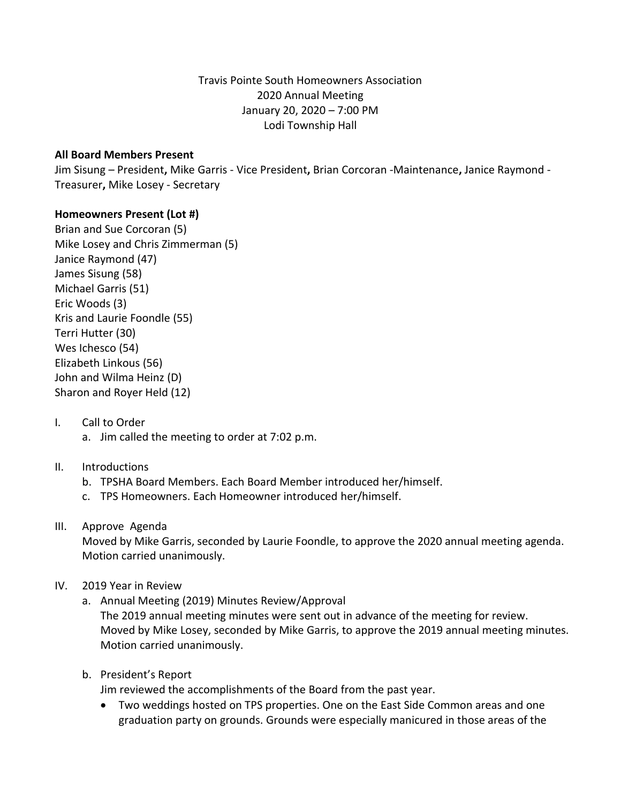Travis Pointe South Homeowners Association 2020 Annual Meeting January 20, 2020 – 7:00 PM Lodi Township Hall

#### **All Board Members Present**

Jim Sisung – President**,** Mike Garris - Vice President**,** Brian Corcoran -Maintenance**,** Janice Raymond - Treasurer**,** Mike Losey - Secretary

### **Homeowners Present (Lot #)**

Brian and Sue Corcoran (5) Mike Losey and Chris Zimmerman (5) Janice Raymond (47) James Sisung (58) Michael Garris (51) Eric Woods (3) Kris and Laurie Foondle (55) Terri Hutter (30) Wes Ichesco (54) Elizabeth Linkous (56) John and Wilma Heinz (D) Sharon and Royer Held (12)

I. Call to Order a. Jim called the meeting to order at 7:02 p.m.

### II. Introductions

- b. TPSHA Board Members. Each Board Member introduced her/himself.
- c. TPS Homeowners. Each Homeowner introduced her/himself.

#### III. Approve Agenda

Moved by Mike Garris, seconded by Laurie Foondle, to approve the 2020 annual meeting agenda. Motion carried unanimously.

### IV. 2019 Year in Review

a. Annual Meeting (2019) Minutes Review/Approval

The 2019 annual meeting minutes were sent out in advance of the meeting for review. Moved by Mike Losey, seconded by Mike Garris, to approve the 2019 annual meeting minutes. Motion carried unanimously.

b. President's Report

Jim reviewed the accomplishments of the Board from the past year.

 Two weddings hosted on TPS properties. One on the East Side Common areas and one graduation party on grounds. Grounds were especially manicured in those areas of the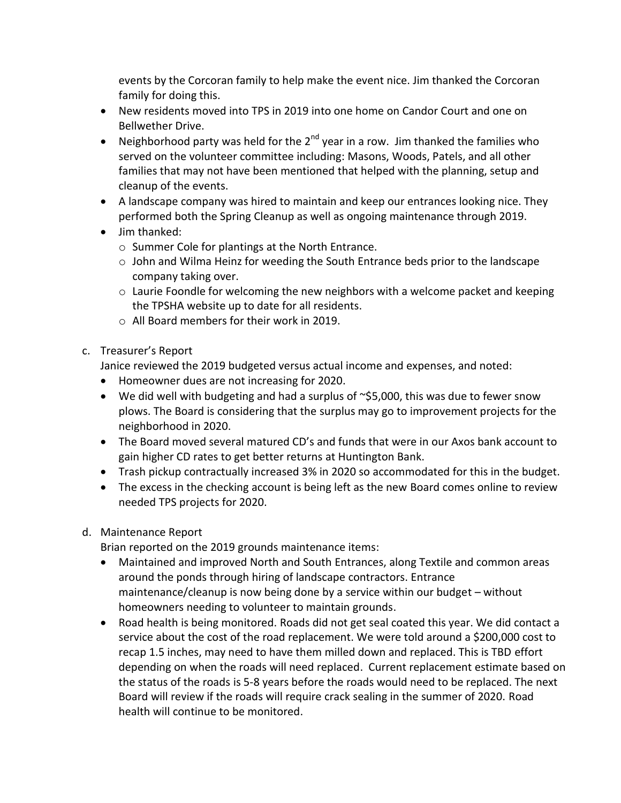events by the Corcoran family to help make the event nice. Jim thanked the Corcoran family for doing this.

- New residents moved into TPS in 2019 into one home on Candor Court and one on Bellwether Drive.
- Neighborhood party was held for the  $2^{nd}$  year in a row. Jim thanked the families who served on the volunteer committee including: Masons, Woods, Patels, and all other families that may not have been mentioned that helped with the planning, setup and cleanup of the events.
- A landscape company was hired to maintain and keep our entrances looking nice. They performed both the Spring Cleanup as well as ongoing maintenance through 2019.
- Jim thanked:
	- o Summer Cole for plantings at the North Entrance.
	- o John and Wilma Heinz for weeding the South Entrance beds prior to the landscape company taking over.
	- $\circ$  Laurie Foondle for welcoming the new neighbors with a welcome packet and keeping the TPSHA website up to date for all residents.
	- o All Board members for their work in 2019.
- c. Treasurer's Report

Janice reviewed the 2019 budgeted versus actual income and expenses, and noted:

- Homeowner dues are not increasing for 2020.
- $\bullet$  We did well with budgeting and had a surplus of  $\sim$ \$5,000, this was due to fewer snow plows. The Board is considering that the surplus may go to improvement projects for the neighborhood in 2020.
- The Board moved several matured CD's and funds that were in our Axos bank account to gain higher CD rates to get better returns at Huntington Bank.
- Trash pickup contractually increased 3% in 2020 so accommodated for this in the budget.
- The excess in the checking account is being left as the new Board comes online to review needed TPS projects for 2020.
- d. Maintenance Report

Brian reported on the 2019 grounds maintenance items:

- Maintained and improved North and South Entrances, along Textile and common areas around the ponds through hiring of landscape contractors. Entrance maintenance/cleanup is now being done by a service within our budget – without homeowners needing to volunteer to maintain grounds.
- Road health is being monitored. Roads did not get seal coated this year. We did contact a service about the cost of the road replacement. We were told around a \$200,000 cost to recap 1.5 inches, may need to have them milled down and replaced. This is TBD effort depending on when the roads will need replaced. Current replacement estimate based on the status of the roads is 5-8 years before the roads would need to be replaced. The next Board will review if the roads will require crack sealing in the summer of 2020. Road health will continue to be monitored.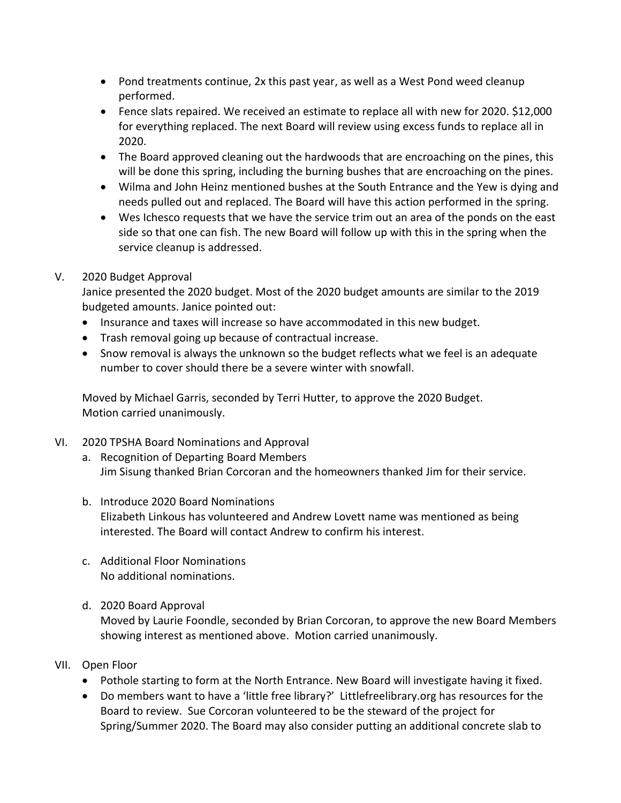- Pond treatments continue, 2x this past year, as well as a West Pond weed cleanup performed.
- Fence slats repaired. We received an estimate to replace all with new for 2020. \$12,000 for everything replaced. The next Board will review using excess funds to replace all in 2020.
- The Board approved cleaning out the hardwoods that are encroaching on the pines, this will be done this spring, including the burning bushes that are encroaching on the pines.
- Wilma and John Heinz mentioned bushes at the South Entrance and the Yew is dying and needs pulled out and replaced. The Board will have this action performed in the spring.
- Wes Ichesco requests that we have the service trim out an area of the ponds on the east side so that one can fish. The new Board will follow up with this in the spring when the service cleanup is addressed.

## V. 2020 Budget Approval

Janice presented the 2020 budget. Most of the 2020 budget amounts are similar to the 2019 budgeted amounts. Janice pointed out:

- Insurance and taxes will increase so have accommodated in this new budget.
- Trash removal going up because of contractual increase.
- Snow removal is always the unknown so the budget reflects what we feel is an adequate number to cover should there be a severe winter with snowfall.

Moved by Michael Garris, seconded by Terri Hutter, to approve the 2020 Budget. Motion carried unanimously.

- VI. 2020 TPSHA Board Nominations and Approval
	- a. Recognition of Departing Board Members Jim Sisung thanked Brian Corcoran and the homeowners thanked Jim for their service.
	- b. Introduce 2020 Board Nominations Elizabeth Linkous has volunteered and Andrew Lovett name was mentioned as being interested. The Board will contact Andrew to confirm his interest.
	- c. Additional Floor Nominations No additional nominations.
	- d. 2020 Board Approval Moved by Laurie Foondle, seconded by Brian Corcoran, to approve the new Board Members showing interest as mentioned above. Motion carried unanimously.

### VII. Open Floor

- Pothole starting to form at the North Entrance. New Board will investigate having it fixed.
- Do members want to have a 'little free library?' Littlefreelibrary.org has resources for the Board to review. Sue Corcoran volunteered to be the steward of the project for Spring/Summer 2020. The Board may also consider putting an additional concrete slab to